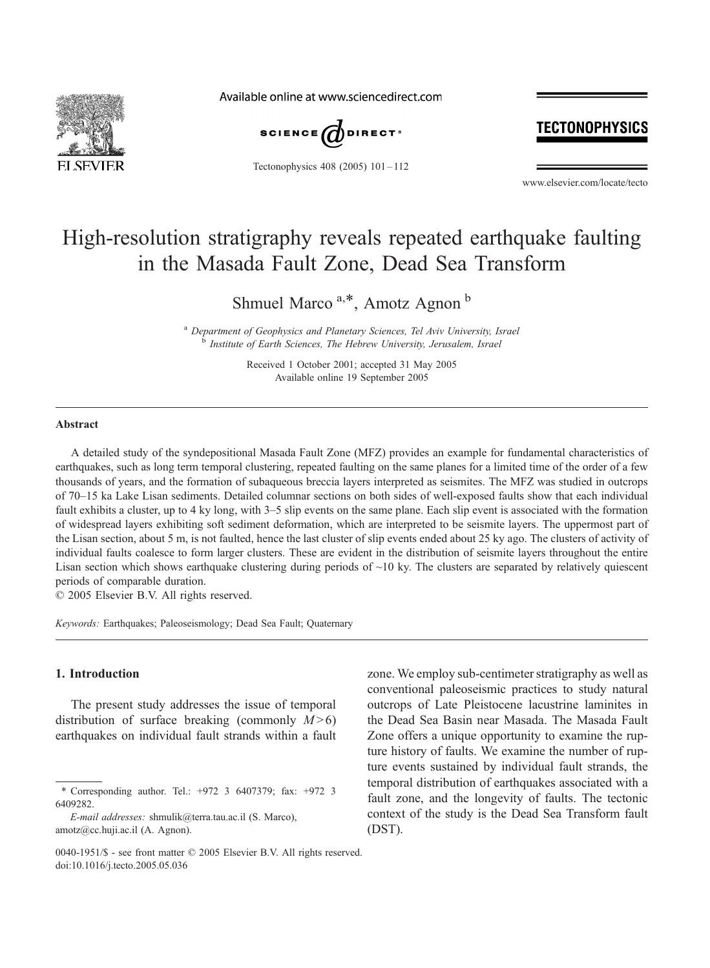

Available online at www.sciencedirect.com



Tectonophysics 408 (2005) 101 – 112

# TECTONOPHYSICS

www.elsevier.com/locate/tecto

# High-resolution stratigraphy reveals repeated earthquake faulting in the Masada Fault Zone, Dead Sea Transform

Shmuel Marco<sup>a,\*</sup>, Amotz Agnon<sup>b</sup>

<sup>a</sup> Department of Geophysics and Planetary Sciences, Tel Aviv University, Israel<br><sup>b</sup> Institute of Earth Sciences, The Hebrew University, Jerusalem, Israel

Received 1 October 2001; accepted 31 May 2005 Available online 19 September 2005

# **Abstract**

A detailed study of the syndepositional Masada Fault Zone (MFZ) provides an example for fundamental characteristics of earthquakes, such as long term temporal clustering, repeated faulting on the same planes for a limited time of the order of a few thousands of years, and the formation of subaqueous breccia layers interpreted as seismites. The MFZ was studied in outcrops of 70–15 ka Lake Lisan sediments. Detailed columnar sections on both sides of well-exposed faults show that each individual fault exhibits a cluster, up to 4 ky long, with 3–5 slip events on the same plane. Each slip event is associated with the formation of widespread layers exhibiting soft sediment deformation, which are interpreted to be seismite layers. The uppermost part of the Lisan section, about 5 m, is not faulted, hence the last cluster of slip events ended about 25 ky ago. The clusters of activity of individual faults coalesce to form larger clusters. These are evident in the distribution of seismite layers throughout the entire Lisan section which shows earthquake clustering during periods of  $\sim$ 10 ky. The clusters are separated by relatively quiescent periods of comparable duration.

© 2005 Elsevier B.V. All rights reserved.

Keywords: Earthquakes; Paleoseismology; Dead Sea Fault; Quaternary

# 1. Introduction

The present study addresses the issue of temporal distribution of surface breaking (commonly  $M>6$ ) earthquakes on individual fault strands within a fault

zone. We employ sub-centimeter stratigraphy as well as conventional paleoseismic practices to study natural outcrops of Late Pleistocene lacustrine laminites in the Dead Sea Basin near Masada. The Masada Fault Zone offers a unique opportunity to examine the rupture history of faults. We examine the number of rupture events sustained by individual fault strands, the temporal distribution of earthquakes associated with a fault zone, and the longevity of faults. The tectonic context of the study is the Dead Sea Transform fault (DST).

<sup>\*</sup> Corresponding author. Tel.: +972 3 6407379; fax: +972 3 6409282.

E-mail addresses: shmulik@terra.tau.ac.il (S. Marco), amotz@cc.huji.ac.il (A. Agnon).

<sup>0040-1951/\$ -</sup> see front matter  $\odot$  2005 Elsevier B.V. All rights reserved. doi:10.1016/j.tecto.2005.05.036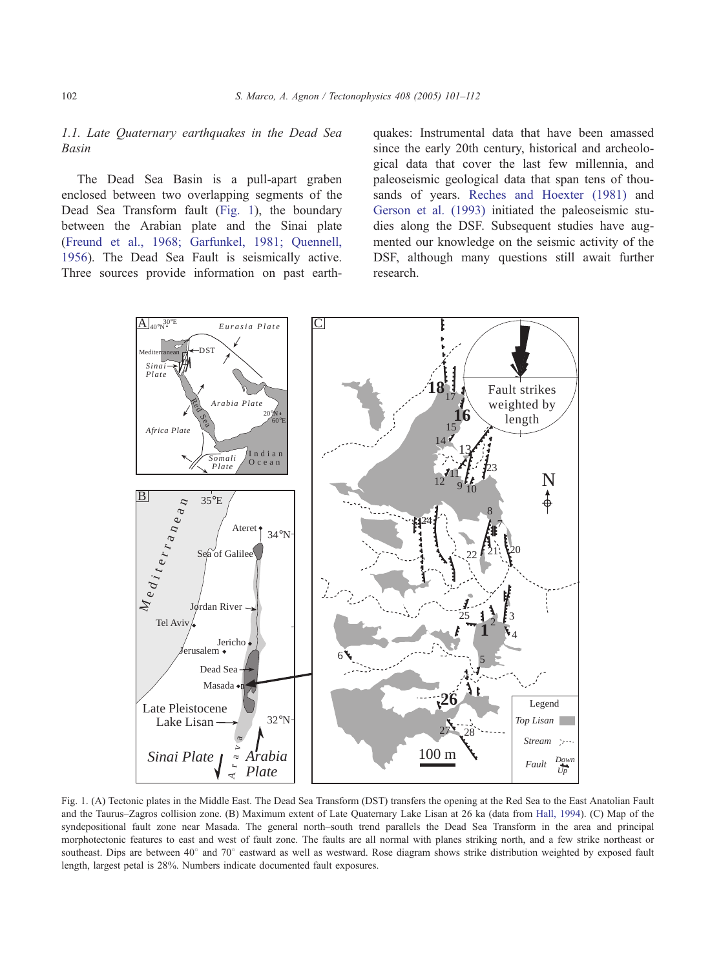# <span id="page-1-0"></span>1.1. Late Quaternary earthquakes in the Dead Sea Basin

The Dead Sea Basin is a pull-apart graben enclosed between two overlapping segments of the Dead Sea Transform fault (Fig. 1), the boundary between the Arabian plate and the Sinai plate ([Freund et al., 1968; Garfunkel, 1981; Quennell,](#page-10-0) 1956). The Dead Sea Fault is seismically active. Three sources provide information on past earthquakes: Instrumental data that have been amassed since the early 20th century, historical and archeological data that cover the last few millennia, and paleoseismic geological data that span tens of thousands of years. [Reches and Hoexter \(1981\)](#page-11-0) and [Gerson et al. \(1993\)](#page-10-0) initiated the paleoseismic studies along the DSF. Subsequent studies have augmented our knowledge on the seismic activity of the DSF, although many questions still await further research.



Fig. 1. (A) Tectonic plates in the Middle East. The Dead Sea Transform (DST) transfers the opening at the Red Sea to the East Anatolian Fault and the Taurus–Zagros collision zone. (B) Maximum extent of Late Quaternary Lake Lisan at 26 ka (data from [Hall, 1994\)](#page-10-0). (C) Map of the syndepositional fault zone near Masada. The general north–south trend parallels the Dead Sea Transform in the area and principal morphotectonic features to east and west of fault zone. The faults are all normal with planes striking north, and a few strike northeast or southeast. Dips are between 40° and 70° eastward as well as westward. Rose diagram shows strike distribution weighted by exposed fault length, largest petal is 28%. Numbers indicate documented fault exposures.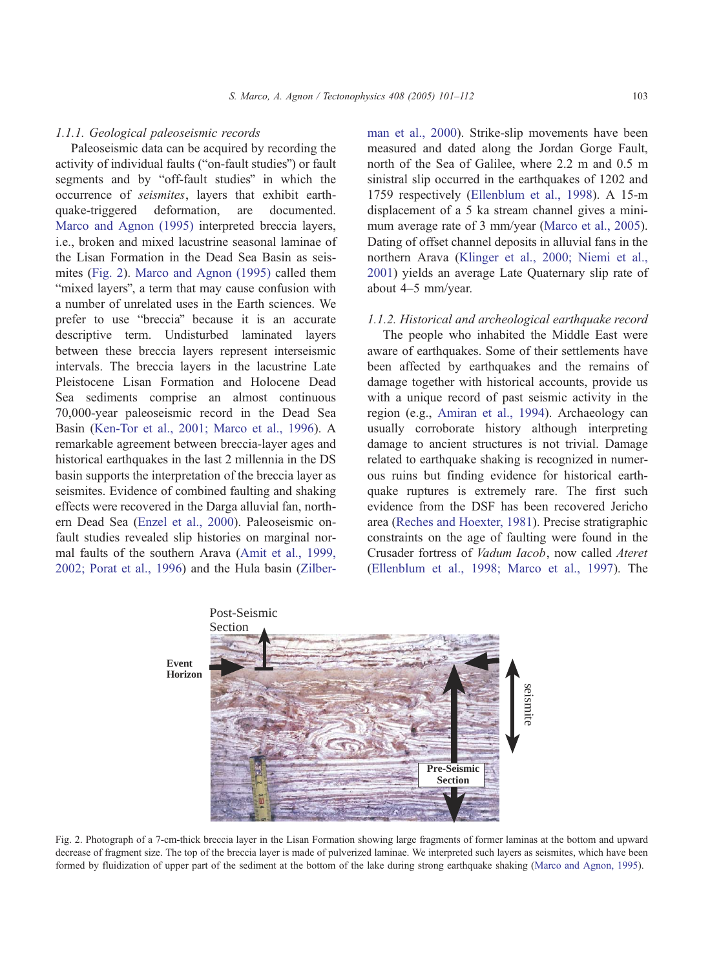#### <span id="page-2-0"></span>1.1.1. Geological paleoseismic records

Paleoseismic data can be acquired by recording the activity of individual faults ("on-fault studies") or fault segments and by "off-fault studies" in which the occurrence of seismites, layers that exhibit earthquake-triggered deformation, are documented. [Marco and Agnon \(1995\)](#page-11-0) interpreted breccia layers, i.e., broken and mixed lacustrine seasonal laminae of the Lisan Formation in the Dead Sea Basin as seismites (Fig. 2). [Marco and Agnon \(1995\)](#page-11-0) called them "mixed layers", a term that may cause confusion with a number of unrelated uses in the Earth sciences. We prefer to use "breccia" because it is an accurate descriptive term. Undisturbed laminated layers between these breccia layers represent interseismic intervals. The breccia layers in the lacustrine Late Pleistocene Lisan Formation and Holocene Dead Sea sediments comprise an almost continuous 70,000-year paleoseismic record in the Dead Sea Basin ([Ken-Tor et al., 2001; Marco et al., 1996\)](#page-10-0). A remarkable agreement between breccia-layer ages and historical earthquakes in the last 2 millennia in the DS basin supports the interpretation of the breccia layer as seismites. Evidence of combined faulting and shaking effects were recovered in the Darga alluvial fan, northern Dead Sea ([Enzel et al., 2000\)](#page-10-0). Paleoseismic onfault studies revealed slip histories on marginal normal faults of the southern Arava ([Amit et al., 1999,](#page-10-0) 2002; Porat et al., 1996) and the Hula basin ([Zilber-](#page-11-0) man et al., 2000). Strike-slip movements have been measured and dated along the Jordan Gorge Fault, north of the Sea of Galilee, where 2.2 m and 0.5 m sinistral slip occurred in the earthquakes of 1202 and 1759 respectively ([Ellenblum et al., 1998\)](#page-10-0). A 15-m displacement of a 5 ka stream channel gives a minimum average rate of 3 mm/year ([Marco et al., 2005\)](#page-11-0). Dating of offset channel deposits in alluvial fans in the northern Arava ([Klinger et al., 2000; Niemi et al.,](#page-11-0) 2001) yields an average Late Quaternary slip rate of about 4–5 mm/year.

#### 1.1.2. Historical and archeological earthquake record

The people who inhabited the Middle East were aware of earthquakes. Some of their settlements have been affected by earthquakes and the remains of damage together with historical accounts, provide us with a unique record of past seismic activity in the region (e.g., [Amiran et al., 1994\)](#page-10-0). Archaeology can usually corroborate history although interpreting damage to ancient structures is not trivial. Damage related to earthquake shaking is recognized in numerous ruins but finding evidence for historical earthquake ruptures is extremely rare. The first such evidence from the DSF has been recovered Jericho area ([Reches and Hoexter, 1981\)](#page-11-0). Precise stratigraphic constraints on the age of faulting were found in the Crusader fortress of Vadum Iacob, now called Ateret ([Ellenblum et al., 1998; Marco et al., 1997\)](#page-10-0). The



Fig. 2. Photograph of a 7-cm-thick breccia layer in the Lisan Formation showing large fragments of former laminas at the bottom and upward decrease of fragment size. The top of the breccia layer is made of pulverized laminae. We interpreted such layers as seismites, which have been formed by fluidization of upper part of the sediment at the bottom of the lake during strong earthquake shaking ([Marco and Agnon, 1995\)](#page-11-0).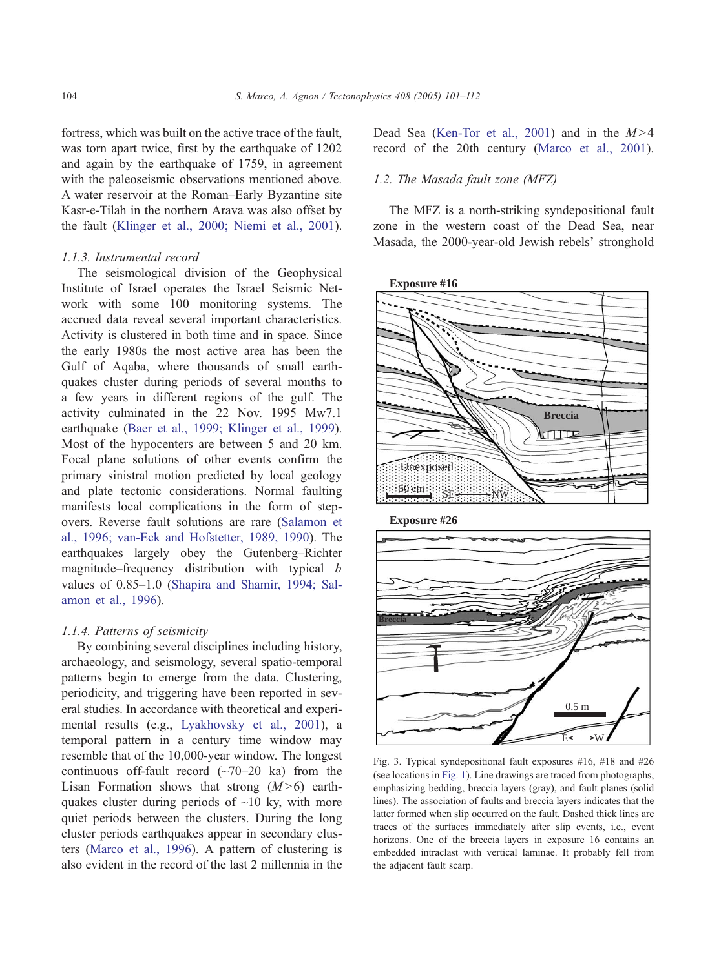<span id="page-3-0"></span>fortress, which was built on the active trace of the fault, was torn apart twice, first by the earthquake of 1202 and again by the earthquake of 1759, in agreement with the paleoseismic observations mentioned above. A water reservoir at the Roman–Early Byzantine site Kasr-e-Tilah in the northern Arava was also offset by the fault ([Klinger et al., 2000; Niemi et al., 2001\)](#page-11-0).

#### 1.1.3. Instrumental record

The seismological division of the Geophysical Institute of Israel operates the Israel Seismic Network with some 100 monitoring systems. The accrued data reveal several important characteristics. Activity is clustered in both time and in space. Since the early 1980s the most active area has been the Gulf of Aqaba, where thousands of small earthquakes cluster during periods of several months to a few years in different regions of the gulf. The activity culminated in the 22 Nov. 1995 Mw7.1 earthquake ([Baer et al., 1999; Klinger et al., 1999\)](#page-10-0). Most of the hypocenters are between 5 and 20 km. Focal plane solutions of other events confirm the primary sinistral motion predicted by local geology and plate tectonic considerations. Normal faulting manifests local complications in the form of stepovers. Reverse fault solutions are rare ([Salamon et](#page-11-0) al., 1996; van-Eck and Hofstetter, 1989, 1990). The earthquakes largely obey the Gutenberg–Richter magnitude–frequency distribution with typical b values of 0.85–1.0 ([Shapira and Shamir, 1994; Sal](#page-11-0)amon et al., 1996).

# 1.1.4. Patterns of seismicity

By combining several disciplines including history, archaeology, and seismology, several spatio-temporal patterns begin to emerge from the data. Clustering, periodicity, and triggering have been reported in several studies. In accordance with theoretical and experimental results (e.g., [Lyakhovsky et al., 2001\)](#page-11-0), a temporal pattern in a century time window may resemble that of the 10,000-year window. The longest continuous off-fault record  $(\sim 70-20$  ka) from the Lisan Formation shows that strong  $(M>6)$  earthquakes cluster during periods of  $\sim$ 10 ky, with more quiet periods between the clusters. During the long cluster periods earthquakes appear in secondary clusters ([Marco et al., 1996\)](#page-11-0). A pattern of clustering is also evident in the record of the last 2 millennia in the Dead Sea ([Ken-Tor et al., 2001\)](#page-10-0) and in the  $M>4$ record of the 20th century ([Marco et al., 2001\)](#page-11-0).

#### 1.2. The Masada fault zone (MFZ)

The MFZ is a north-striking syndepositional fault zone in the western coast of the Dead Sea, near Masada, the 2000-year-old Jewish rebels' stronghold





Fig. 3. Typical syndepositional fault exposures #16, #18 and #26 (see locations in [Fig. 1\)](#page-1-0). Line drawings are traced from photographs, emphasizing bedding, breccia layers (gray), and fault planes (solid lines). The association of faults and breccia layers indicates that the latter formed when slip occurred on the fault. Dashed thick lines are traces of the surfaces immediately after slip events, i.e., event horizons. One of the breccia layers in exposure 16 contains an embedded intraclast with vertical laminae. It probably fell from the adjacent fault scarp.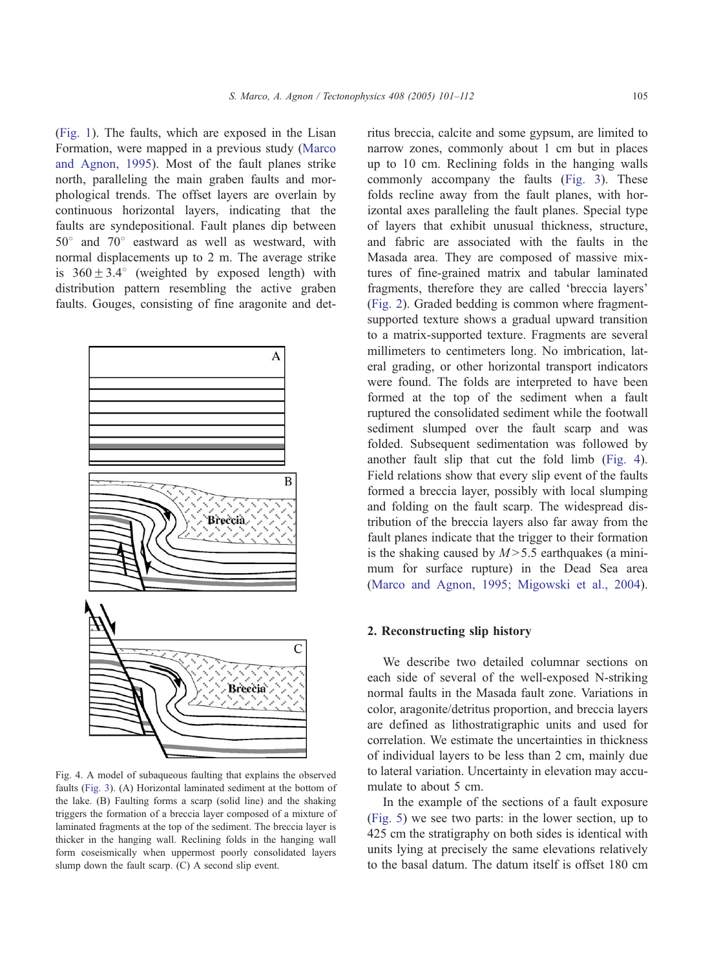<span id="page-4-0"></span>([Fig. 1\)](#page-1-0). The faults, which are exposed in the Lisan Formation, were mapped in a previous study ([Marco](#page-11-0) and Agnon, 1995). Most of the fault planes strike north, paralleling the main graben faults and morphological trends. The offset layers are overlain by continuous horizontal layers, indicating that the faults are syndepositional. Fault planes dip between  $50^\circ$  and  $70^\circ$  eastward as well as westward, with normal displacements up to 2 m. The average strike is  $360 \pm 3.4^\circ$  (weighted by exposed length) with distribution pattern resembling the active graben faults. Gouges, consisting of fine aragonite and det-



Fig. 4. A model of subaqueous faulting that explains the observed faults [\(Fig. 3\)](#page-3-0). (A) Horizontal laminated sediment at the bottom of the lake. (B) Faulting forms a scarp (solid line) and the shaking triggers the formation of a breccia layer composed of a mixture of laminated fragments at the top of the sediment. The breccia layer is thicker in the hanging wall. Reclining folds in the hanging wall form coseismically when uppermost poorly consolidated layers slump down the fault scarp. (C) A second slip event.

ritus breccia, calcite and some gypsum, are limited to narrow zones, commonly about 1 cm but in places up to 10 cm. Reclining folds in the hanging walls commonly accompany the faults ([Fig. 3\)](#page-3-0). These folds recline away from the fault planes, with horizontal axes paralleling the fault planes. Special type of layers that exhibit unusual thickness, structure, and fabric are associated with the faults in the Masada area. They are composed of massive mixtures of fine-grained matrix and tabular laminated fragments, therefore they are called 'breccia layers' ([Fig. 2\)](#page-2-0). Graded bedding is common where fragmentsupported texture shows a gradual upward transition to a matrix-supported texture. Fragments are several millimeters to centimeters long. No imbrication, lateral grading, or other horizontal transport indicators were found. The folds are interpreted to have been formed at the top of the sediment when a fault ruptured the consolidated sediment while the footwall sediment slumped over the fault scarp and was folded. Subsequent sedimentation was followed by another fault slip that cut the fold limb (Fig. 4). Field relations show that every slip event of the faults formed a breccia layer, possibly with local slumping and folding on the fault scarp. The widespread distribution of the breccia layers also far away from the fault planes indicate that the trigger to their formation is the shaking caused by  $M > 5.5$  earthquakes (a minimum for surface rupture) in the Dead Sea area ([Marco and Agnon, 1995; Migowski et al., 2004\)](#page-11-0).

#### 2. Reconstructing slip history

We describe two detailed columnar sections on each side of several of the well-exposed N-striking normal faults in the Masada fault zone. Variations in color, aragonite/detritus proportion, and breccia layers are defined as lithostratigraphic units and used for correlation. We estimate the uncertainties in thickness of individual layers to be less than 2 cm, mainly due to lateral variation. Uncertainty in elevation may accumulate to about 5 cm.

In the example of the sections of a fault exposure ([Fig. 5\)](#page-5-0) we see two parts: in the lower section, up to 425 cm the stratigraphy on both sides is identical with units lying at precisely the same elevations relatively to the basal datum. The datum itself is offset 180 cm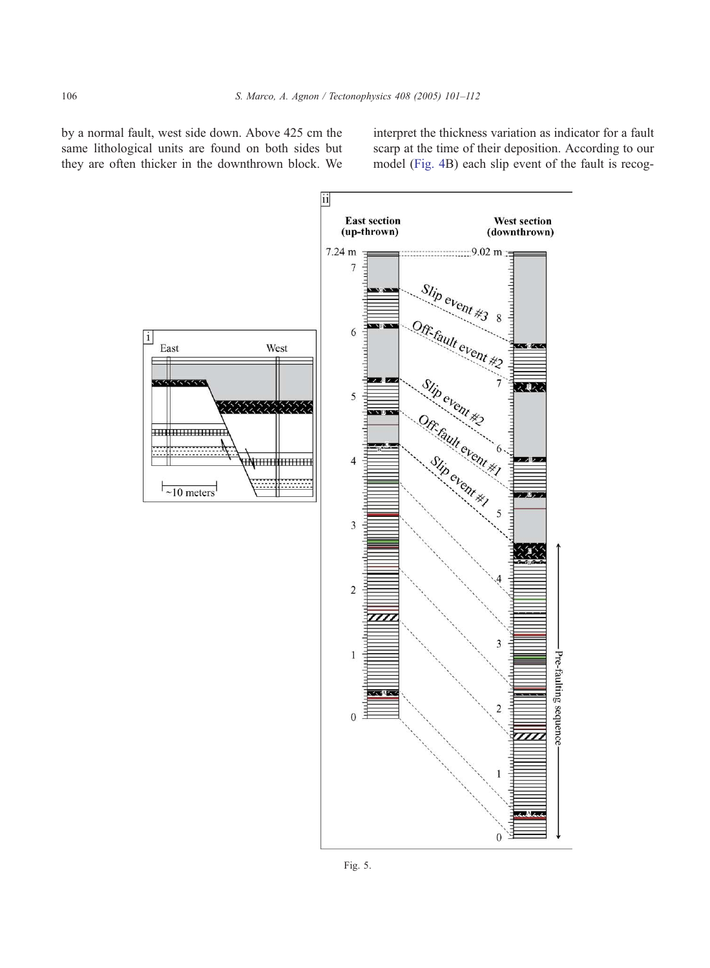<span id="page-5-0"></span>by a normal fault, west side down. Above 425 cm the same lithological units are found on both sides but they are often thicker in the downthrown block. We

interpret the thickness variation as indicator for a fault scarp at the time of their deposition. According to our model ([Fig. 4B](#page-4-0)) each slip event of the fault is recog-

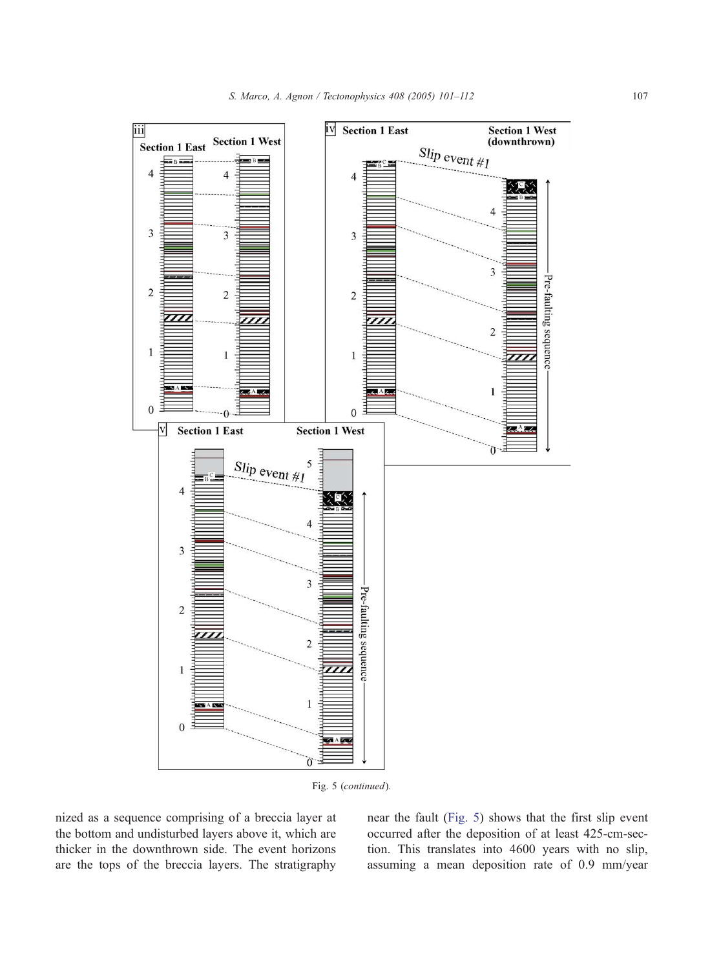

Fig. 5 (continued).

nized as a sequence comprising of a breccia layer at the bottom and undisturbed layers above it, which are thicker in the downthrown side. The event horizons are the tops of the breccia layers. The stratigraphy near the fault ([Fig. 5\)](#page-5-0) shows that the first slip event occurred after the deposition of at least 425-cm-section. This translates into 4600 years with no slip, assuming a mean deposition rate of 0.9 mm/year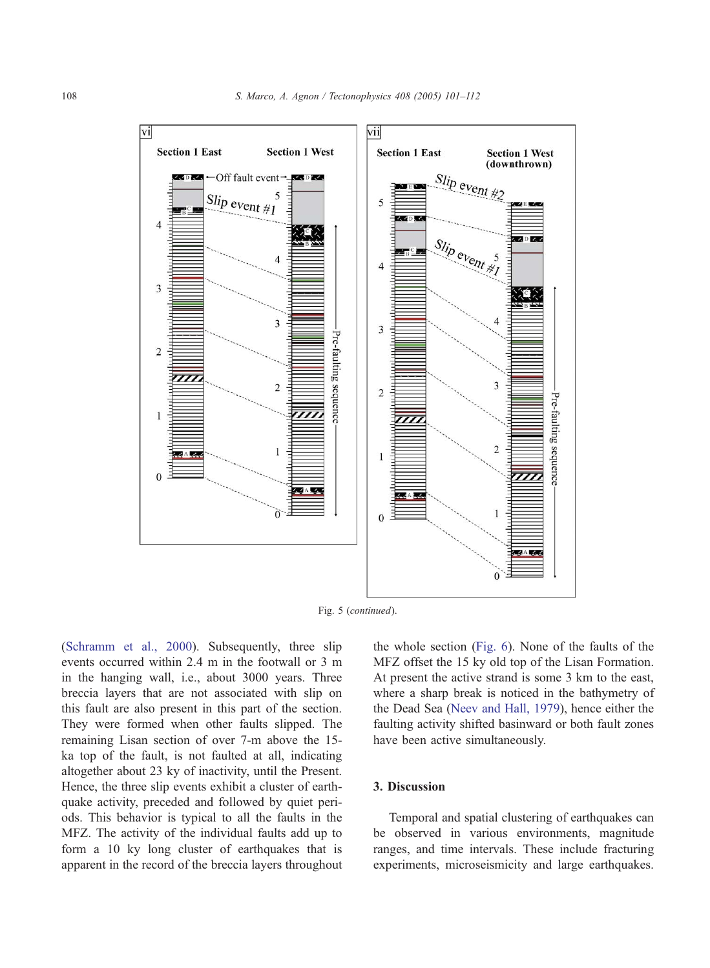

Fig. 5 (continued).

([Schramm et al., 2000\)](#page-11-0). Subsequently, three slip events occurred within 2.4 m in the footwall or 3 m in the hanging wall, i.e., about 3000 years. Three breccia layers that are not associated with slip on this fault are also present in this part of the section. They were formed when other faults slipped. The remaining Lisan section of over 7-m above the 15 ka top of the fault, is not faulted at all, indicating altogether about 23 ky of inactivity, until the Present. Hence, the three slip events exhibit a cluster of earthquake activity, preceded and followed by quiet periods. This behavior is typical to all the faults in the MFZ. The activity of the individual faults add up to form a 10 ky long cluster of earthquakes that is apparent in the record of the breccia layers throughout the whole section ([Fig. 6\)](#page-9-0). None of the faults of the MFZ offset the 15 ky old top of the Lisan Formation. At present the active strand is some 3 km to the east, where a sharp break is noticed in the bathymetry of the Dead Sea ([Neev and Hall, 1979\)](#page-11-0), hence either the faulting activity shifted basinward or both fault zones have been active simultaneously.

#### 3. Discussion

Temporal and spatial clustering of earthquakes can be observed in various environments, magnitude ranges, and time intervals. These include fracturing experiments, microseismicity and large earthquakes.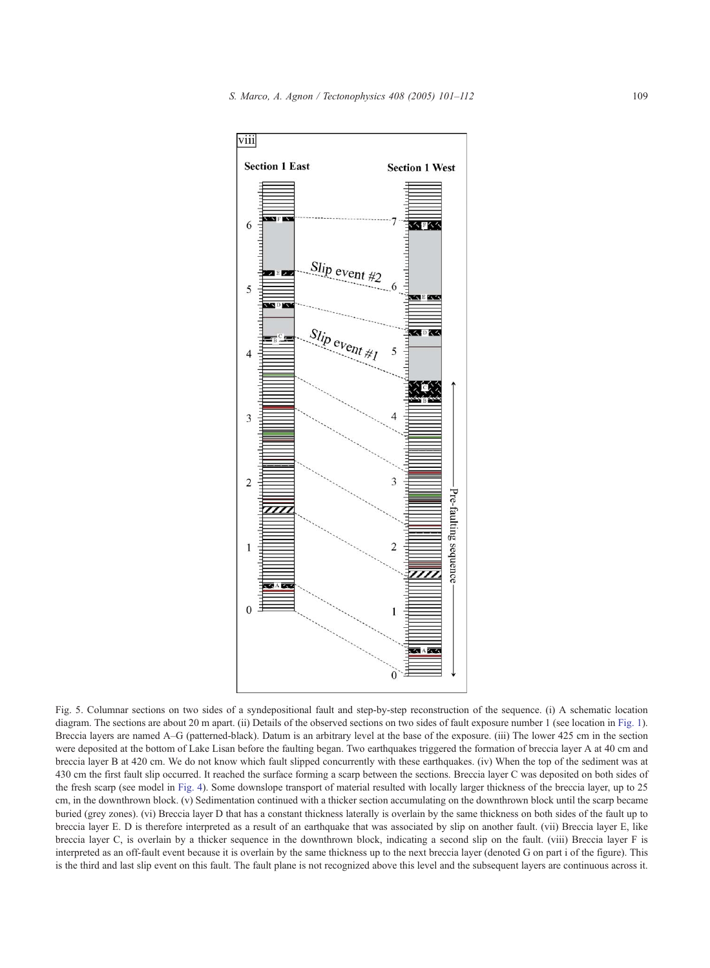

Fig. 5. Columnar sections on two sides of a syndepositional fault and step-by-step reconstruction of the sequence. (i) A schematic location diagram. The sections are about 20 m apart. (ii) Details of the observed sections on two sides of fault exposure number 1 (see location in [Fig. 1\)](#page-1-0). Breccia layers are named A–G (patterned-black). Datum is an arbitrary level at the base of the exposure. (iii) The lower 425 cm in the section were deposited at the bottom of Lake Lisan before the faulting began. Two earthquakes triggered the formation of breccia layer A at 40 cm and breccia layer B at 420 cm. We do not know which fault slipped concurrently with these earthquakes. (iv) When the top of the sediment was at 430 cm the first fault slip occurred. It reached the surface forming a scarp between the sections. Breccia layer C was deposited on both sides of the fresh scarp (see model in [Fig. 4\)](#page-4-0). Some downslope transport of material resulted with locally larger thickness of the breccia layer, up to 25 cm, in the downthrown block. (v) Sedimentation continued with a thicker section accumulating on the downthrown block until the scarp became buried (grey zones). (vi) Breccia layer D that has a constant thickness laterally is overlain by the same thickness on both sides of the fault up to breccia layer E. D is therefore interpreted as a result of an earthquake that was associated by slip on another fault. (vii) Breccia layer E, like breccia layer C, is overlain by a thicker sequence in the downthrown block, indicating a second slip on the fault. (viii) Breccia layer F is interpreted as an off-fault event because it is overlain by the same thickness up to the next breccia layer (denoted G on part i of the figure). This is the third and last slip event on this fault. The fault plane is not recognized above this level and the subsequent layers are continuous across it.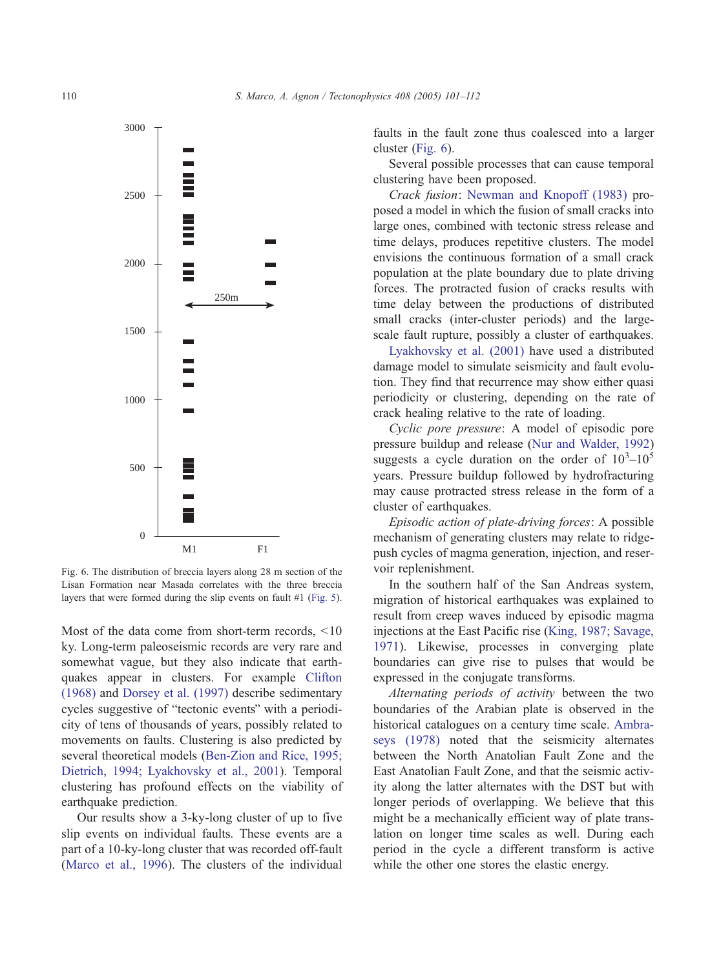<span id="page-9-0"></span>

Fig. 6. The distribution of breccia layers along 28 m section of the Lisan Formation near Masada correlates with the three breccia layers that were formed during the slip events on fault #1 ([Fig. 5\)](#page-5-0).

Most of the data come from short-term records,  $\leq 10$ ky. Long-term paleoseismic records are very rare and somewhat vague, but they also indicate that earthquakes appear in clusters. For example [Clifton](#page-10-0) (1968) and [Dorsey et al. \(1997\)](#page-10-0) describe sedimentary cycles suggestive of "tectonic events" with a periodicity of tens of thousands of years, possibly related to movements on faults. Clustering is also predicted by several theoretical models ([Ben-Zion and Rice, 1995;](#page-10-0) Dietrich, 1994; Lyakhovsky et al., 2001). Temporal clustering has profound effects on the viability of earthquake prediction.

Our results show a 3-ky-long cluster of up to five slip events on individual faults. These events are a part of a 10-ky-long cluster that was recorded off-fault ([Marco et al., 1996\)](#page-11-0). The clusters of the individual faults in the fault zone thus coalesced into a larger cluster (Fig. 6).

Several possible processes that can cause temporal clustering have been proposed.

Crack fusion: [Newman and Knopoff \(1983\)](#page-11-0) proposed a model in which the fusion of small cracks into large ones, combined with tectonic stress release and time delays, produces repetitive clusters. The model envisions the continuous formation of a small crack population at the plate boundary due to plate driving forces. The protracted fusion of cracks results with time delay between the productions of distributed small cracks (inter-cluster periods) and the largescale fault rupture, possibly a cluster of earthquakes.

[Lyakhovsky et al. \(2001\)](#page-11-0) have used a distributed damage model to simulate seismicity and fault evolution. They find that recurrence may show either quasi periodicity or clustering, depending on the rate of crack healing relative to the rate of loading.

Cyclic pore pressure: A model of episodic pore pressure buildup and release ([Nur and Walder, 1992\)](#page-11-0) suggests a cycle duration on the order of  $10^3 - 10^5$ years. Pressure buildup followed by hydrofracturing may cause protracted stress release in the form of a cluster of earthquakes.

Episodic action of plate-driving forces: A possible mechanism of generating clusters may relate to ridgepush cycles of magma generation, injection, and reservoir replenishment.

In the southern half of the San Andreas system, migration of historical earthquakes was explained to result from creep waves induced by episodic magma injections at the East Pacific rise ([King, 1987; Savage,](#page-10-0) 1971). Likewise, processes in converging plate boundaries can give rise to pulses that would be expressed in the conjugate transforms.

Alternating periods of activity between the two boundaries of the Arabian plate is observed in the historical catalogues on a century time scale. [Ambra](#page-10-0)seys (1978) noted that the seismicity alternates between the North Anatolian Fault Zone and the East Anatolian Fault Zone, and that the seismic activity along the latter alternates with the DST but with longer periods of overlapping. We believe that this might be a mechanically efficient way of plate translation on longer time scales as well. During each period in the cycle a different transform is active while the other one stores the elastic energy.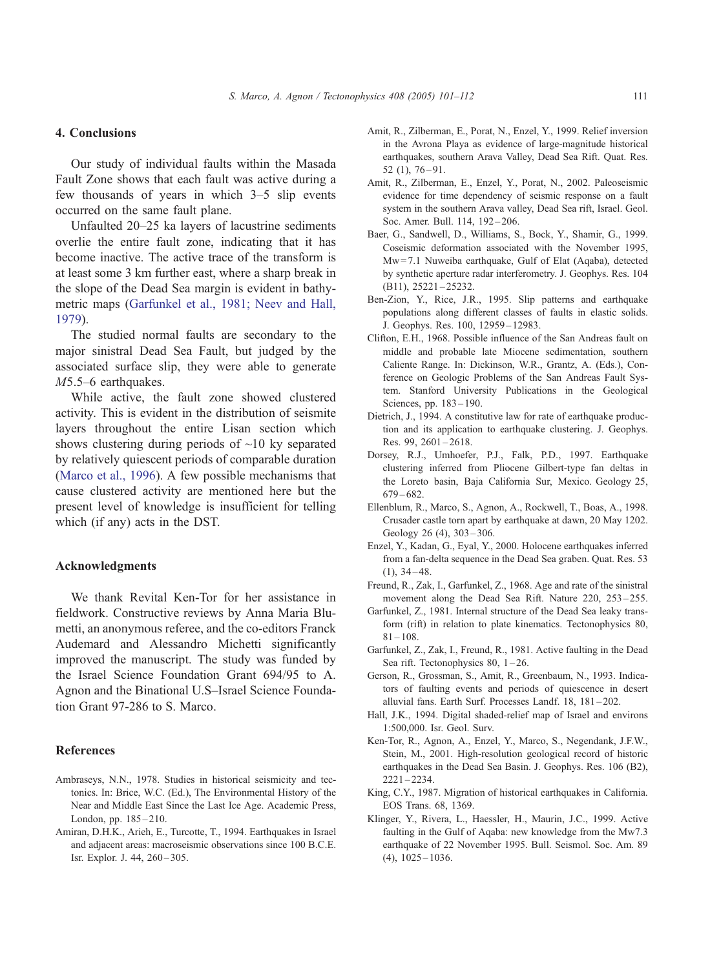### <span id="page-10-0"></span>4. Conclusions

Our study of individual faults within the Masada Fault Zone shows that each fault was active during a few thousands of years in which 3–5 slip events occurred on the same fault plane.

Unfaulted 20–25 ka layers of lacustrine sediments overlie the entire fault zone, indicating that it has become inactive. The active trace of the transform is at least some 3 km further east, where a sharp break in the slope of the Dead Sea margin is evident in bathymetric maps (Garfunkel et al., 1981; Neev and Hall, 1979).

The studied normal faults are secondary to the major sinistral Dead Sea Fault, but judged by the associated surface slip, they were able to generate M5.5–6 earthquakes.

While active, the fault zone showed clustered activity. This is evident in the distribution of seismite layers throughout the entire Lisan section which shows clustering during periods of  $\sim$ 10 ky separated by relatively quiescent periods of comparable duration ([Marco et al., 1996\)](#page-11-0). A few possible mechanisms that cause clustered activity are mentioned here but the present level of knowledge is insufficient for telling which (if any) acts in the DST.

#### Acknowledgments

We thank Revital Ken-Tor for her assistance in fieldwork. Constructive reviews by Anna Maria Blumetti, an anonymous referee, and the co-editors Franck Audemard and Alessandro Michetti significantly improved the manuscript. The study was funded by the Israel Science Foundation Grant 694/95 to A. Agnon and the Binational U.S–Israel Science Foundation Grant 97-286 to S. Marco.

#### References

- Ambraseys, N.N., 1978. Studies in historical seismicity and tectonics. In: Brice, W.C. (Ed.), The Environmental History of the Near and Middle East Since the Last Ice Age. Academic Press, London, pp. 185-210.
- Amiran, D.H.K., Arieh, E., Turcotte, T., 1994. Earthquakes in Israel and adjacent areas: macroseismic observations since 100 B.C.E. Isr. Explor. J. 44, 260 – 305.
- Amit, R., Zilberman, E., Porat, N., Enzel, Y., 1999. Relief inversion in the Avrona Playa as evidence of large-magnitude historical earthquakes, southern Arava Valley, Dead Sea Rift. Quat. Res. 52 (1), 76 – 91.
- Amit, R., Zilberman, E., Enzel, Y., Porat, N., 2002. Paleoseismic evidence for time dependency of seismic response on a fault system in the southern Arava valley, Dead Sea rift, Israel. Geol. Soc. Amer. Bull. 114, 192-206.
- Baer, G., Sandwell, D., Williams, S., Bock, Y., Shamir, G., 1999. Coseismic deformation associated with the November 1995, Mw = 7.1 Nuweiba earthquake, Gulf of Elat (Aqaba), detected by synthetic aperture radar interferometry. J. Geophys. Res. 104 (B11), 25221 – 25232.
- Ben-Zion, Y., Rice, J.R., 1995. Slip patterns and earthquake populations along different classes of faults in elastic solids. J. Geophys. Res. 100, 12959 – 12983.
- Clifton, E.H., 1968. Possible influence of the San Andreas fault on middle and probable late Miocene sedimentation, southern Caliente Range. In: Dickinson, W.R., Grantz, A. (Eds.), Conference on Geologic Problems of the San Andreas Fault System. Stanford University Publications in the Geological Sciences, pp. 183-190.
- Dietrich, J., 1994. A constitutive law for rate of earthquake production and its application to earthquake clustering. J. Geophys. Res. 99, 2601-2618.
- Dorsey, R.J., Umhoefer, P.J., Falk, P.D., 1997. Earthquake clustering inferred from Pliocene Gilbert-type fan deltas in the Loreto basin, Baja California Sur, Mexico. Geology 25, 679 – 682.
- Ellenblum, R., Marco, S., Agnon, A., Rockwell, T., Boas, A., 1998. Crusader castle torn apart by earthquake at dawn, 20 May 1202. Geology 26 (4), 303 – 306.
- Enzel, Y., Kadan, G., Eyal, Y., 2000. Holocene earthquakes inferred from a fan-delta sequence in the Dead Sea graben. Quat. Res. 53  $(1), 34 - 48.$
- Freund, R., Zak, I., Garfunkel, Z., 1968. Age and rate of the sinistral movement along the Dead Sea Rift. Nature 220, 253 – 255.
- Garfunkel, Z., 1981. Internal structure of the Dead Sea leaky transform (rift) in relation to plate kinematics. Tectonophysics 80,  $81 - 108.$
- Garfunkel, Z., Zak, I., Freund, R., 1981. Active faulting in the Dead Sea rift. Tectonophysics 80, 1-26.
- Gerson, R., Grossman, S., Amit, R., Greenbaum, N., 1993. Indicators of faulting events and periods of quiescence in desert alluvial fans. Earth Surf. Processes Landf. 18, 181 – 202.
- Hall, J.K., 1994. Digital shaded-relief map of Israel and environs 1:500,000. Isr. Geol. Surv.
- Ken-Tor, R., Agnon, A., Enzel, Y., Marco, S., Negendank, J.F.W., Stein, M., 2001. High-resolution geological record of historic earthquakes in the Dead Sea Basin. J. Geophys. Res. 106 (B2), 2221 – 2234.
- King, C.Y., 1987. Migration of historical earthquakes in California. EOS Trans. 68, 1369.
- Klinger, Y., Rivera, L., Haessler, H., Maurin, J.C., 1999. Active faulting in the Gulf of Aqaba: new knowledge from the Mw7.3 earthquake of 22 November 1995. Bull. Seismol. Soc. Am. 89  $(4)$ ,  $1025 - 1036$ .